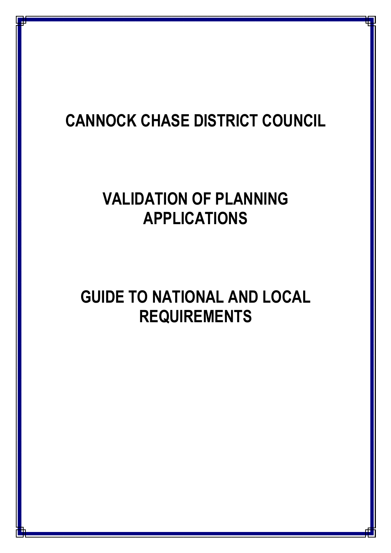# **CANNOCK CHASE DISTRICT COUNCIL**

# **VALIDATION OF PLANNING APPLICATIONS**

# **GUIDE TO NATIONAL AND LOCAL REQUIREMENTS**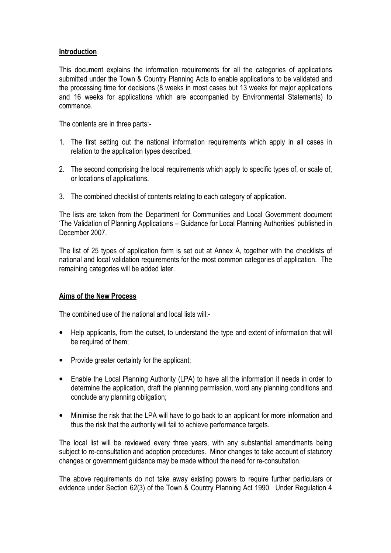# **Introduction**

This document explains the information requirements for all the categories of applications submitted under the Town & Country Planning Acts to enable applications to be validated and the processing time for decisions (8 weeks in most cases but 13 weeks for major applications and 16 weeks for applications which are accompanied by Environmental Statements) to commence.

The contents are in three parts:-

- 1. The first setting out the national information requirements which apply in all cases in relation to the application types described.
- 2. The second comprising the local requirements which apply to specific types of, or scale of, or locations of applications.
- 3. The combined checklist of contents relating to each category of application.

The lists are taken from the Department for Communities and Local Government document 'The Validation of Planning Applications – Guidance for Local Planning Authorities' published in December 2007.

The list of 25 types of application form is set out at Annex A, together with the checklists of national and local validation requirements for the most common categories of application. The remaining categories will be added later.

# **Aims of the New Process**

The combined use of the national and local lists will:-

- Help applicants, from the outset, to understand the type and extent of information that will be required of them;
- Provide greater certainty for the applicant;
- Enable the Local Planning Authority (LPA) to have all the information it needs in order to determine the application, draft the planning permission, word any planning conditions and conclude any planning obligation;
- Minimise the risk that the LPA will have to go back to an applicant for more information and thus the risk that the authority will fail to achieve performance targets.

The local list will be reviewed every three years, with any substantial amendments being subject to re-consultation and adoption procedures. Minor changes to take account of statutory changes or government guidance may be made without the need for re-consultation.

The above requirements do not take away existing powers to require further particulars or evidence under Section 62(3) of the Town & Country Planning Act 1990. Under Regulation 4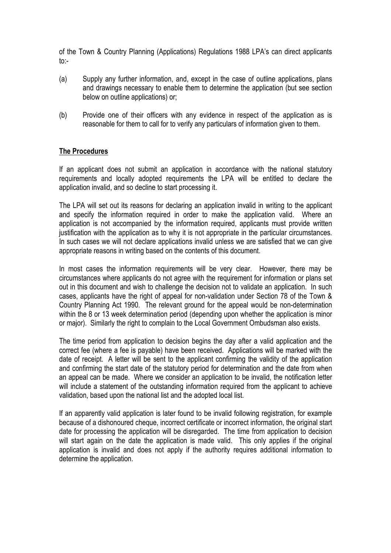of the Town & Country Planning (Applications) Regulations 1988 LPA's can direct applicants to:-

- (a) Supply any further information, and, except in the case of outline applications, plans and drawings necessary to enable them to determine the application (but see section below on outline applications) or;
- (b) Provide one of their officers with any evidence in respect of the application as is reasonable for them to call for to verify any particulars of information given to them.

# **The Procedures**

If an applicant does not submit an application in accordance with the national statutory requirements and locally adopted requirements the LPA will be entitled to declare the application invalid, and so decline to start processing it.

The LPA will set out its reasons for declaring an application invalid in writing to the applicant and specify the information required in order to make the application valid. Where an application is not accompanied by the information required, applicants must provide written justification with the application as to why it is not appropriate in the particular circumstances. In such cases we will not declare applications invalid unless we are satisfied that we can give appropriate reasons in writing based on the contents of this document.

In most cases the information requirements will be very clear. However, there may be circumstances where applicants do not agree with the requirement for information or plans set out in this document and wish to challenge the decision not to validate an application. In such cases, applicants have the right of appeal for non-validation under Section 78 of the Town & Country Planning Act 1990. The relevant ground for the appeal would be non-determination within the 8 or 13 week determination period (depending upon whether the application is minor or major). Similarly the right to complain to the Local Government Ombudsman also exists.

The time period from application to decision begins the day after a valid application and the correct fee (where a fee is payable) have been received. Applications will be marked with the date of receipt. A letter will be sent to the applicant confirming the validity of the application and confirming the start date of the statutory period for determination and the date from when an appeal can be made. Where we consider an application to be invalid, the notification letter will include a statement of the outstanding information required from the applicant to achieve validation, based upon the national list and the adopted local list.

If an apparently valid application is later found to be invalid following registration, for example because of a dishonoured cheque, incorrect certificate or incorrect information, the original start date for processing the application will be disregarded. The time from application to decision will start again on the date the application is made valid. This only applies if the original application is invalid and does not apply if the authority requires additional information to determine the application.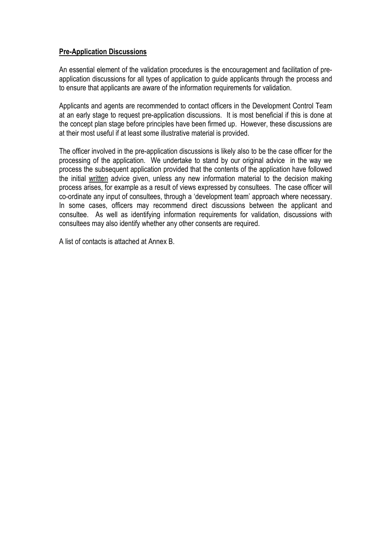# **Pre-Application Discussions**

An essential element of the validation procedures is the encouragement and facilitation of preapplication discussions for all types of application to guide applicants through the process and to ensure that applicants are aware of the information requirements for validation.

Applicants and agents are recommended to contact officers in the Development Control Team at an early stage to request pre-application discussions. It is most beneficial if this is done at the concept plan stage before principles have been firmed up. However, these discussions are at their most useful if at least some illustrative material is provided.

The officer involved in the pre-application discussions is likely also to be the case officer for the processing of the application. We undertake to stand by our original advice in the way we process the subsequent application provided that the contents of the application have followed the initial written advice given, unless any new information material to the decision making process arises, for example as a result of views expressed by consultees. The case officer will co-ordinate any input of consultees, through a 'development team' approach where necessary. In some cases, officers may recommend direct discussions between the applicant and consultee. As well as identifying information requirements for validation, discussions with consultees may also identify whether any other consents are required.

A list of contacts is attached at Annex B.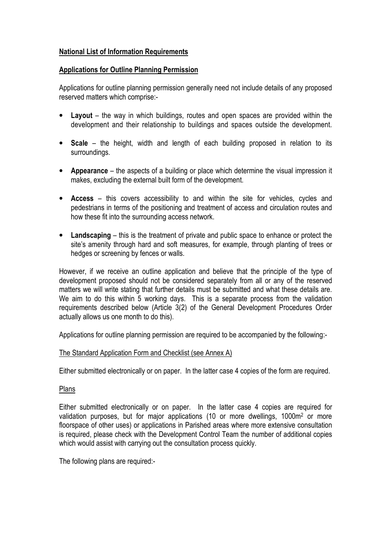# **National List of Information Requirements**

# **Applications for Outline Planning Permission**

Applications for outline planning permission generally need not include details of any proposed reserved matters which comprise:-

- **Layout** the way in which buildings, routes and open spaces are provided within the development and their relationship to buildings and spaces outside the development.
- **Scale** the height, width and length of each building proposed in relation to its surroundings.
- **Appearance** the aspects of a building or place which determine the visual impression it makes, excluding the external built form of the development.
- **Access** this covers accessibility to and within the site for vehicles, cycles and pedestrians in terms of the positioning and treatment of access and circulation routes and how these fit into the surrounding access network.
- **Landscaping** this is the treatment of private and public space to enhance or protect the site's amenity through hard and soft measures, for example, through planting of trees or hedges or screening by fences or walls.

However, if we receive an outline application and believe that the principle of the type of development proposed should not be considered separately from all or any of the reserved matters we will write stating that further details must be submitted and what these details are. We aim to do this within 5 working days. This is a separate process from the validation requirements described below (Article 3(2) of the General Development Procedures Order actually allows us one month to do this).

Applications for outline planning permission are required to be accompanied by the following:-

# The Standard Application Form and Checklist (see Annex A)

Either submitted electronically or on paper. In the latter case 4 copies of the form are required.

# Plans

Either submitted electronically or on paper. In the latter case 4 copies are required for validation purposes, but for major applications (10 or more dwellings, 1000m<sup>2</sup> or more floorspace of other uses) or applications in Parished areas where more extensive consultation is required, please check with the Development Control Team the number of additional copies which would assist with carrying out the consultation process quickly.

The following plans are required:-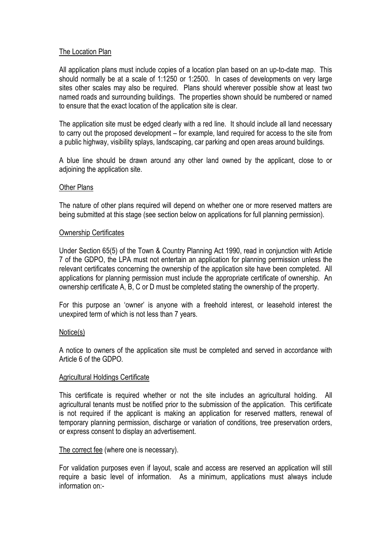# The Location Plan

All application plans must include copies of a location plan based on an up-to-date map. This should normally be at a scale of 1:1250 or 1:2500. In cases of developments on very large sites other scales may also be required. Plans should wherever possible show at least two named roads and surrounding buildings. The properties shown should be numbered or named to ensure that the exact location of the application site is clear.

The application site must be edged clearly with a red line. It should include all land necessary to carry out the proposed development – for example, land required for access to the site from a public highway, visibility splays, landscaping, car parking and open areas around buildings.

A blue line should be drawn around any other land owned by the applicant, close to or adioining the application site.

# Other Plans

The nature of other plans required will depend on whether one or more reserved matters are being submitted at this stage (see section below on applications for full planning permission).

# Ownership Certificates

Under Section 65(5) of the Town & Country Planning Act 1990, read in conjunction with Article 7 of the GDPO, the LPA must not entertain an application for planning permission unless the relevant certificates concerning the ownership of the application site have been completed. All applications for planning permission must include the appropriate certificate of ownership. An ownership certificate A, B, C or D must be completed stating the ownership of the property.

For this purpose an 'owner' is anyone with a freehold interest, or leasehold interest the unexpired term of which is not less than 7 years.

# Notice(s)

A notice to owners of the application site must be completed and served in accordance with Article 6 of the GDPO.

# Agricultural Holdings Certificate

This certificate is required whether or not the site includes an agricultural holding. All agricultural tenants must be notified prior to the submission of the application. This certificate is not required if the applicant is making an application for reserved matters, renewal of temporary planning permission, discharge or variation of conditions, tree preservation orders, or express consent to display an advertisement.

# The correct fee (where one is necessary).

For validation purposes even if layout, scale and access are reserved an application will still require a basic level of information. As a minimum, applications must always include information on:-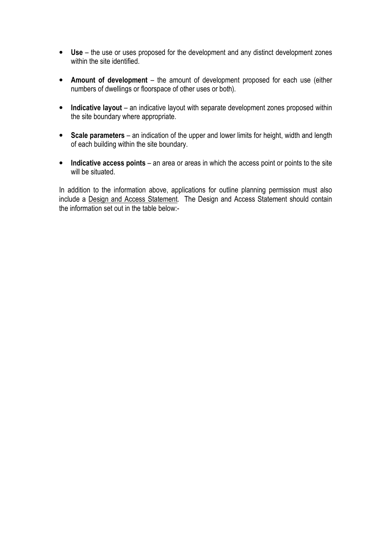- **Use** the use or uses proposed for the development and any distinct development zones within the site identified.
- **Amount of development**  the amount of development proposed for each use (either numbers of dwellings or floorspace of other uses or both).
- Indicative layout an indicative layout with separate development zones proposed within the site boundary where appropriate.
- **Scale parameters** an indication of the upper and lower limits for height, width and length of each building within the site boundary.
- **Indicative access points** an area or areas in which the access point or points to the site will be situated.

In addition to the information above, applications for outline planning permission must also include a Design and Access Statement. The Design and Access Statement should contain the information set out in the table below:-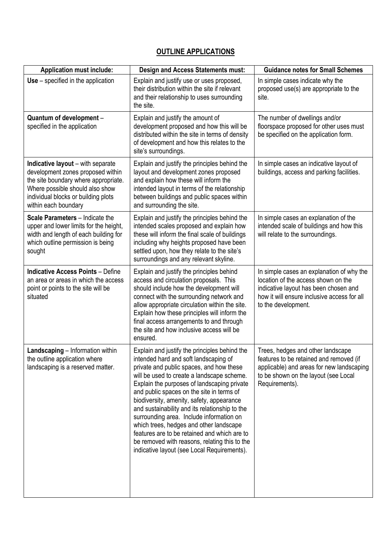# **OUTLINE APPLICATIONS**

| <b>Application must include:</b>                                                                                                                                                                                 | Design and Access Statements must:                                                                                                                                                                                                                                                                                                                                                                                                                                                                                                                                                                                 | <b>Guidance notes for Small Schemes</b>                                                                                                                                                         |
|------------------------------------------------------------------------------------------------------------------------------------------------------------------------------------------------------------------|--------------------------------------------------------------------------------------------------------------------------------------------------------------------------------------------------------------------------------------------------------------------------------------------------------------------------------------------------------------------------------------------------------------------------------------------------------------------------------------------------------------------------------------------------------------------------------------------------------------------|-------------------------------------------------------------------------------------------------------------------------------------------------------------------------------------------------|
| $Use - specified in the application$                                                                                                                                                                             | Explain and justify use or uses proposed,<br>their distribution within the site if relevant<br>and their relationship to uses surrounding<br>the site.                                                                                                                                                                                                                                                                                                                                                                                                                                                             | In simple cases indicate why the<br>proposed use(s) are appropriate to the<br>site.                                                                                                             |
| Quantum of development -<br>specified in the application                                                                                                                                                         | Explain and justify the amount of<br>development proposed and how this will be<br>distributed within the site in terms of density<br>of development and how this relates to the<br>site's surroundings.                                                                                                                                                                                                                                                                                                                                                                                                            | The number of dwellings and/or<br>floorspace proposed for other uses must<br>be specified on the application form.                                                                              |
| Indicative layout - with separate<br>development zones proposed within<br>the site boundary where appropriate.<br>Where possible should also show<br>individual blocks or building plots<br>within each boundary | Explain and justify the principles behind the<br>layout and development zones proposed<br>and explain how these will inform the<br>intended layout in terms of the relationship<br>between buildings and public spaces within<br>and surrounding the site.                                                                                                                                                                                                                                                                                                                                                         | In simple cases an indicative layout of<br>buildings, access and parking facilities.                                                                                                            |
| Scale Parameters - Indicate the<br>upper and lower limits for the height,<br>width and length of each building for<br>which outline permission is being<br>sought                                                | Explain and justify the principles behind the<br>intended scales proposed and explain how<br>these will inform the final scale of buildings<br>including why heights proposed have been<br>settled upon, how they relate to the site's<br>surroundings and any relevant skyline.                                                                                                                                                                                                                                                                                                                                   | In simple cases an explanation of the<br>intended scale of buildings and how this<br>will relate to the surroundings.                                                                           |
| <b>Indicative Access Points - Define</b><br>an area or areas in which the access<br>point or points to the site will be<br>situated                                                                              | Explain and justify the principles behind<br>access and circulation proposals. This<br>should include how the development will<br>connect with the surrounding network and<br>allow appropriate circulation within the site.<br>Explain how these principles will inform the<br>final access arrangements to and through<br>the site and how inclusive access will be<br>ensured.                                                                                                                                                                                                                                  | In simple cases an explanation of why the<br>location of the access shown on the<br>indicative layout has been chosen and<br>how it will ensure inclusive access for all<br>to the development. |
| Landscaping - Information within<br>the outline application where<br>landscaping is a reserved matter.                                                                                                           | Explain and justify the principles behind the<br>intended hard and soft landscaping of<br>private and public spaces, and how these<br>will be used to create a landscape scheme.<br>Explain the purposes of landscaping private<br>and public spaces on the site in terms of<br>biodiversity, amenity, safety, appearance<br>and sustainability and its relationship to the<br>surrounding area. Include information on<br>which trees, hedges and other landscape<br>features are to be retained and which are to<br>be removed with reasons, relating this to the<br>indicative layout (see Local Requirements). | Trees, hedges and other landscape<br>features to be retained and removed (if<br>applicable) and areas for new landscaping<br>to be shown on the layout (see Local<br>Requirements).             |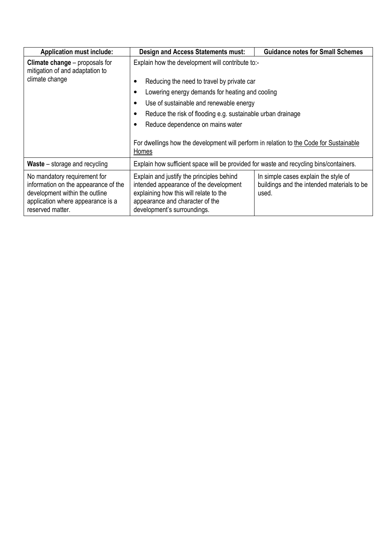| <b>Application must include:</b>                                                                                                                                | <b>Design and Access Statements must:</b>                                                                                                                                                       | <b>Guidance notes for Small Schemes</b>                                                     |  |  |  |
|-----------------------------------------------------------------------------------------------------------------------------------------------------------------|-------------------------------------------------------------------------------------------------------------------------------------------------------------------------------------------------|---------------------------------------------------------------------------------------------|--|--|--|
| <b>Climate change</b> – proposals for<br>mitigation of and adaptation to                                                                                        | Explain how the development will contribute to:-                                                                                                                                                |                                                                                             |  |  |  |
| climate change                                                                                                                                                  | Reducing the need to travel by private car                                                                                                                                                      |                                                                                             |  |  |  |
|                                                                                                                                                                 | Lowering energy demands for heating and cooling                                                                                                                                                 |                                                                                             |  |  |  |
|                                                                                                                                                                 | Use of sustainable and renewable energy                                                                                                                                                         |                                                                                             |  |  |  |
|                                                                                                                                                                 | Reduce the risk of flooding e.g. sustainable urban drainage                                                                                                                                     |                                                                                             |  |  |  |
|                                                                                                                                                                 | Reduce dependence on mains water                                                                                                                                                                |                                                                                             |  |  |  |
|                                                                                                                                                                 | For dwellings how the development will perform in relation to the Code for Sustainable<br>Homes                                                                                                 |                                                                                             |  |  |  |
| <b>Waste</b> – storage and recycling                                                                                                                            | Explain how sufficient space will be provided for waste and recycling bins/containers.                                                                                                          |                                                                                             |  |  |  |
| No mandatory requirement for<br>information on the appearance of the<br>development within the outline<br>application where appearance is a<br>reserved matter. | Explain and justify the principles behind<br>intended appearance of the development<br>explaining how this will relate to the<br>appearance and character of the<br>development's surroundings. | In simple cases explain the style of<br>buildings and the intended materials to be<br>used. |  |  |  |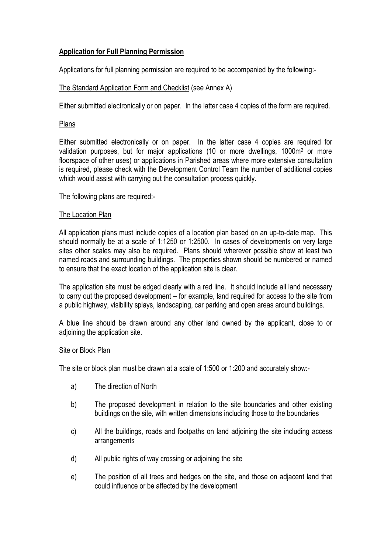# **Application for Full Planning Permission**

Applications for full planning permission are required to be accompanied by the following:-

# The Standard Application Form and Checklist (see Annex A)

Either submitted electronically or on paper. In the latter case 4 copies of the form are required.

# Plans

Either submitted electronically or on paper. In the latter case 4 copies are required for validation purposes, but for major applications (10 or more dwellings, 1000m<sup>2</sup> or more floorspace of other uses) or applications in Parished areas where more extensive consultation is required, please check with the Development Control Team the number of additional copies which would assist with carrying out the consultation process quickly.

The following plans are required:-

#### The Location Plan

All application plans must include copies of a location plan based on an up-to-date map. This should normally be at a scale of 1:1250 or 1:2500. In cases of developments on very large sites other scales may also be required. Plans should wherever possible show at least two named roads and surrounding buildings. The properties shown should be numbered or named to ensure that the exact location of the application site is clear.

The application site must be edged clearly with a red line. It should include all land necessary to carry out the proposed development – for example, land required for access to the site from a public highway, visibility splays, landscaping, car parking and open areas around buildings.

A blue line should be drawn around any other land owned by the applicant, close to or adjoining the application site.

#### Site or Block Plan

The site or block plan must be drawn at a scale of 1:500 or 1:200 and accurately show:-

- a) The direction of North
- b) The proposed development in relation to the site boundaries and other existing buildings on the site, with written dimensions including those to the boundaries
- c) All the buildings, roads and footpaths on land adjoining the site including access arrangements
- d) All public rights of way crossing or adjoining the site
- e) The position of all trees and hedges on the site, and those on adjacent land that could influence or be affected by the development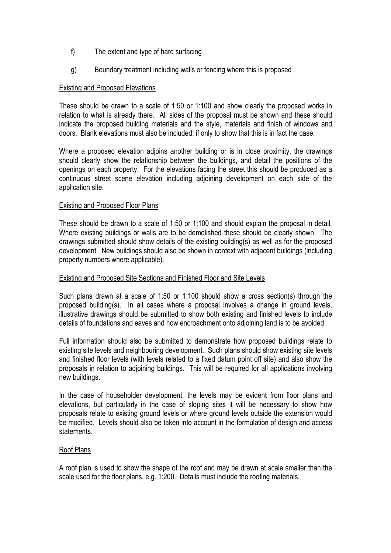- f) The extent and type of hard surfacing
- g) Boundary treatment including walls or fencing where this is proposed

# Existing and Proposed Elevations

These should be drawn to a scale of 1:50 or 1:100 and show clearly the proposed works in relation to what is already there. All sides of the proposal must be shown and these should indicate the proposed building materials and the style, materials and finish of windows and doors. Blank elevations must also be included; if only to show that this is in fact the case.

Where a proposed elevation adjoins another building or is in close proximity, the drawings should clearly show the relationship between the buildings, and detail the positions of the openings on each property. For the elevations facing the street this should be produced as a continuous street scene elevation including adjoining development on each side of the application site.

# Existing and Proposed Floor Plans

These should be drawn to a scale of 1:50 or 1:100 and should explain the proposal in detail. Where existing buildings or walls are to be demolished these should be clearly shown. The drawings submitted should show details of the existing building(s) as well as for the proposed development. New buildings should also be shown in context with adjacent buildings (including property numbers where applicable).

# Existing and Proposed Site Sections and Finished Floor and Site Levels

Such plans drawn at a scale of 1:50 or 1:100 should show a cross section(s) through the proposed building(s). In all cases where a proposal involves a change in ground levels, illustrative drawings should be submitted to show both existing and finished levels to include details of foundations and eaves and how encroachment onto adjoining land is to be avoided.

Full information should also be submitted to demonstrate how proposed buildings relate to existing site levels and neighbouring development. Such plans should show existing site levels and finished floor levels (with levels related to a fixed datum point off site) and also show the proposals in relation to adjoining buildings. This will be required for all applications involving new buildings.

In the case of householder development, the levels may be evident from floor plans and elevations, but particularly in the case of sloping sites it will be necessary to show how proposals relate to existing ground levels or where ground levels outside the extension would be modified. Levels should also be taken into account in the formulation of design and access statements.

# Roof Plans

A roof plan is used to show the shape of the roof and may be drawn at scale smaller than the scale used for the floor plans, e.g. 1:200. Details must include the roofing materials.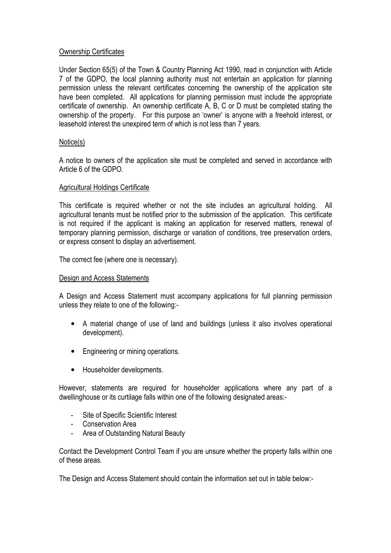# Ownership Certificates

Under Section 65(5) of the Town & Country Planning Act 1990, read in conjunction with Article 7 of the GDPO, the local planning authority must not entertain an application for planning permission unless the relevant certificates concerning the ownership of the application site have been completed. All applications for planning permission must include the appropriate certificate of ownership. An ownership certificate A, B, C or D must be completed stating the ownership of the property. For this purpose an 'owner' is anyone with a freehold interest, or leasehold interest the unexpired term of which is not less than 7 years.

# Notice(s)

A notice to owners of the application site must be completed and served in accordance with Article 6 of the GDPO.

# Agricultural Holdings Certificate

This certificate is required whether or not the site includes an agricultural holding. All agricultural tenants must be notified prior to the submission of the application. This certificate is not required if the applicant is making an application for reserved matters, renewal of temporary planning permission, discharge or variation of conditions, tree preservation orders, or express consent to display an advertisement.

The correct fee (where one is necessary).

# Design and Access Statements

A Design and Access Statement must accompany applications for full planning permission unless they relate to one of the following:-

- A material change of use of land and buildings (unless it also involves operational development).
- Engineering or mining operations.
- Householder developments.

However, statements are required for householder applications where any part of a dwellinghouse or its curtilage falls within one of the following designated areas:-

- Site of Specific Scientific Interest
- Conservation Area
- Area of Outstanding Natural Beauty

Contact the Development Control Team if you are unsure whether the property falls within one of these areas.

The Design and Access Statement should contain the information set out in table below:-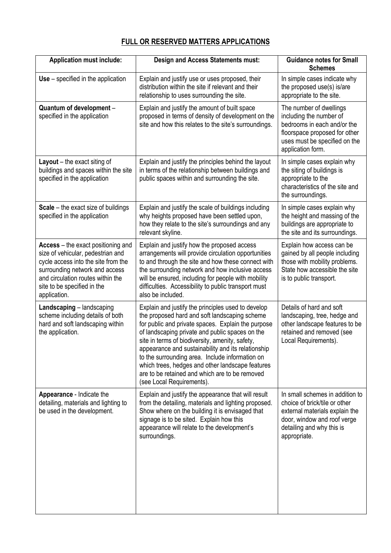# **FULL OR RESERVED MATTERS APPLICATIONS**

| <b>Application must include:</b>                                                                                                                                                                                                     | <b>Design and Access Statements must:</b>                                                                                                                                                                                                                                                                                                                                                                                                                                                                   | <b>Guidance notes for Small</b><br><b>Schemes</b>                                                                                                                              |
|--------------------------------------------------------------------------------------------------------------------------------------------------------------------------------------------------------------------------------------|-------------------------------------------------------------------------------------------------------------------------------------------------------------------------------------------------------------------------------------------------------------------------------------------------------------------------------------------------------------------------------------------------------------------------------------------------------------------------------------------------------------|--------------------------------------------------------------------------------------------------------------------------------------------------------------------------------|
| $Use - specified in the application$                                                                                                                                                                                                 | Explain and justify use or uses proposed, their<br>distribution within the site if relevant and their<br>relationship to uses surrounding the site.                                                                                                                                                                                                                                                                                                                                                         | In simple cases indicate why<br>the proposed use(s) is/are<br>appropriate to the site.                                                                                         |
| Quantum of development -<br>specified in the application                                                                                                                                                                             | Explain and justify the amount of built space<br>proposed in terms of density of development on the<br>site and how this relates to the site's surroundings.                                                                                                                                                                                                                                                                                                                                                | The number of dwellings<br>including the number of<br>bedrooms in each and/or the<br>floorspace proposed for other<br>uses must be specified on the<br>application form.       |
| Layout $-$ the exact siting of<br>buildings and spaces within the site<br>specified in the application                                                                                                                               | Explain and justify the principles behind the layout<br>in terms of the relationship between buildings and<br>public spaces within and surrounding the site.                                                                                                                                                                                                                                                                                                                                                | In simple cases explain why<br>the siting of buildings is<br>appropriate to the<br>characteristics of the site and<br>the surroundings.                                        |
| Scale - the exact size of buildings<br>specified in the application                                                                                                                                                                  | Explain and justify the scale of buildings including<br>why heights proposed have been settled upon,<br>how they relate to the site's surroundings and any<br>relevant skyline.                                                                                                                                                                                                                                                                                                                             | In simple cases explain why<br>the height and massing of the<br>buildings are appropriate to<br>the site and its surroundings.                                                 |
| Access – the exact positioning and<br>size of vehicular, pedestrian and<br>cycle access into the site from the<br>surrounding network and access<br>and circulation routes within the<br>site to be specified in the<br>application. | Explain and justify how the proposed access<br>arrangements will provide circulation opportunities<br>to and through the site and how these connect with<br>the surrounding network and how inclusive access<br>will be ensured, including for people with mobility<br>difficulties. Accessibility to public transport must<br>also be included.                                                                                                                                                            | Explain how access can be<br>gained by all people including<br>those with mobility problems.<br>State how accessible the site<br>is to public transport.                       |
| Landscaping - landscaping<br>scheme including details of both<br>hard and soft landscaping within<br>the application.                                                                                                                | Explain and justify the principles used to develop<br>the proposed hard and soft landscaping scheme<br>for public and private spaces. Explain the purpose<br>of landscaping private and public spaces on the<br>site in terms of biodiversity, amenity, safety,<br>appearance and sustainability and its relationship<br>to the surrounding area. Include information on<br>which trees, hedges and other landscape features<br>are to be retained and which are to be removed<br>(see Local Requirements). | Details of hard and soft<br>landscaping, tree, hedge and<br>other landscape features to be<br>retained and removed (see<br>Local Requirements).                                |
| Appearance - Indicate the<br>detailing, materials and lighting to<br>be used in the development.                                                                                                                                     | Explain and justify the appearance that will result<br>from the detailing, materials and lighting proposed.<br>Show where on the building it is envisaged that<br>signage is to be sited. Explain how this<br>appearance will relate to the development's<br>surroundings.                                                                                                                                                                                                                                  | In small schemes in addition to<br>choice of brick/tile or other<br>external materials explain the<br>door, window and roof verge<br>detailing and why this is<br>appropriate. |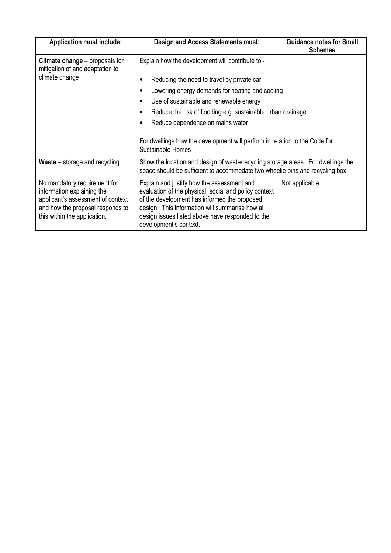| <b>Application must include:</b>                                                                                                                                    | <b>Design and Access Statements must:</b>                                                                                                                                                                                                                                                                                                                                                                                                 | <b>Guidance notes for Small</b><br><b>Schemes</b> |  |
|---------------------------------------------------------------------------------------------------------------------------------------------------------------------|-------------------------------------------------------------------------------------------------------------------------------------------------------------------------------------------------------------------------------------------------------------------------------------------------------------------------------------------------------------------------------------------------------------------------------------------|---------------------------------------------------|--|
| <b>Climate change</b> – proposals for<br>mitigation of and adaptation to<br>climate change                                                                          | Explain how the development will contribute to:-<br>Reducing the need to travel by private car<br>Lowering energy demands for heating and cooling<br>$\bullet$<br>Use of sustainable and renewable energy<br>Reduce the risk of flooding e.g. sustainable urban drainage<br>$\bullet$<br>Reduce dependence on mains water<br>$\bullet$<br>For dwellings how the development will perform in relation to the Code for<br>Sustainable Homes |                                                   |  |
| <b>Waste</b> – storage and recycling                                                                                                                                | Show the location and design of waste/recycling storage areas. For dwellings the<br>space should be sufficient to accommodate two wheelie bins and recycling box.                                                                                                                                                                                                                                                                         |                                                   |  |
| No mandatory requirement for<br>information explaining the<br>applicant's assessment of context<br>and how the proposal responds to<br>this within the application. | Explain and justify how the assessment and<br>evaluation of the physical, social and policy context<br>of the development has informed the proposed<br>design. This information will summarise how all<br>design issues listed above have responded to the<br>development's context.                                                                                                                                                      | Not applicable.                                   |  |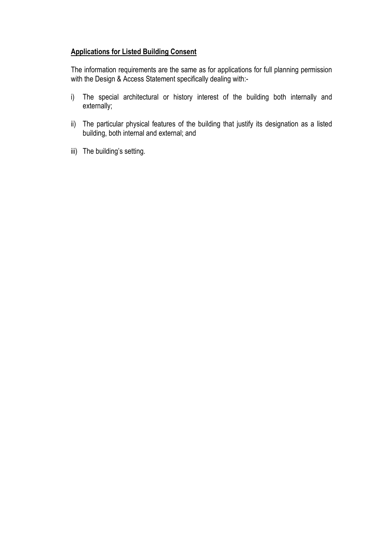# **Applications for Listed Building Consent**

The information requirements are the same as for applications for full planning permission with the Design & Access Statement specifically dealing with:-

- i) The special architectural or history interest of the building both internally and externally;
- ii) The particular physical features of the building that justify its designation as a listed building, both internal and external; and
- iii) The building's setting.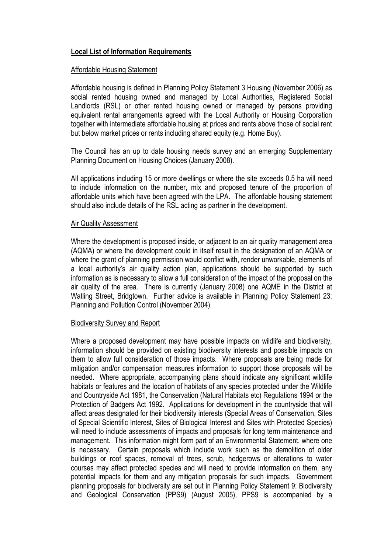# **Local List of Information Requirements**

# Affordable Housing Statement

Affordable housing is defined in Planning Policy Statement 3 Housing (November 2006) as social rented housing owned and managed by Local Authorities, Registered Social Landlords (RSL) or other rented housing owned or managed by persons providing equivalent rental arrangements agreed with the Local Authority or Housing Corporation together with intermediate affordable housing at prices and rents above those of social rent but below market prices or rents including shared equity (e.g. Home Buy).

The Council has an up to date housing needs survey and an emerging Supplementary Planning Document on Housing Choices (January 2008).

All applications including 15 or more dwellings or where the site exceeds 0.5 ha will need to include information on the number, mix and proposed tenure of the proportion of affordable units which have been agreed with the LPA. The affordable housing statement should also include details of the RSL acting as partner in the development.

# **Air Quality Assessment**

Where the development is proposed inside, or adjacent to an air quality management area (AQMA) or where the development could in itself result in the designation of an AQMA or where the grant of planning permission would conflict with, render unworkable, elements of a local authority's air quality action plan, applications should be supported by such information as is necessary to allow a full consideration of the impact of the proposal on the air quality of the area. There is currently (January 2008) one AQME in the District at Watling Street, Bridgtown. Further advice is available in Planning Policy Statement 23: Planning and Pollution Control (November 2004).

# Biodiversity Survey and Report

Where a proposed development may have possible impacts on wildlife and biodiversity, information should be provided on existing biodiversity interests and possible impacts on them to allow full consideration of those impacts. Where proposals are being made for mitigation and/or compensation measures information to support those proposals will be needed. Where appropriate, accompanying plans should indicate any significant wildlife habitats or features and the location of habitats of any species protected under the Wildlife and Countryside Act 1981, the Conservation (Natural Habitats etc) Regulations 1994 or the Protection of Badgers Act 1992. Applications for development in the countryside that will affect areas designated for their biodiversity interests (Special Areas of Conservation, Sites of Special Scientific Interest, Sites of Biological Interest and Sites with Protected Species) will need to include assessments of impacts and proposals for long term maintenance and management. This information might form part of an Environmental Statement, where one is necessary. Certain proposals which include work such as the demolition of older buildings or roof spaces, removal of trees, scrub, hedgerows or alterations to water courses may affect protected species and will need to provide information on them, any potential impacts for them and any mitigation proposals for such impacts. Government planning proposals for biodiversity are set out in Planning Policy Statement 9: Biodiversity and Geological Conservation (PPS9) (August 2005), PPS9 is accompanied by a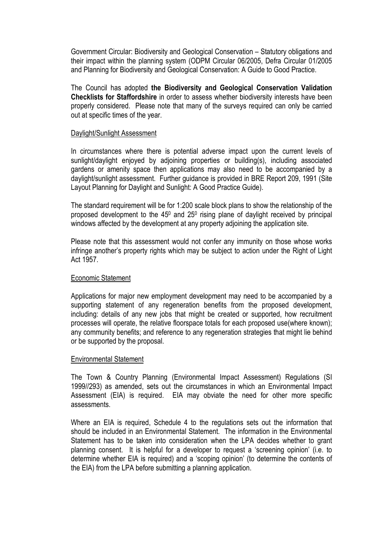Government Circular: Biodiversity and Geological Conservation – Statutory obligations and their impact within the planning system (ODPM Circular 06/2005, Defra Circular 01/2005 and Planning for Biodiversity and Geological Conservation: A Guide to Good Practice.

The Council has adopted **the Biodiversity and Geological Conservation Validation Checklists for Staffordshire** in order to assess whether biodiversity interests have been properly considered. Please note that many of the surveys required can only be carried out at specific times of the year.

### Daylight/Sunlight Assessment

In circumstances where there is potential adverse impact upon the current levels of sunlight/daylight enjoyed by adjoining properties or building(s), including associated gardens or amenity space then applications may also need to be accompanied by a daylight/sunlight assessment. Further guidance is provided in BRE Report 209, 1991 (Site Layout Planning for Daylight and Sunlight: A Good Practice Guide).

The standard requirement will be for 1:200 scale block plans to show the relationship of the proposed development to the  $45^{\circ}$  and  $25^{\circ}$  rising plane of daylight received by principal windows affected by the development at any property adjoining the application site.

Please note that this assessment would not confer any immunity on those whose works infringe another's property rights which may be subject to action under the Right of Light Act 1957.

#### Economic Statement

Applications for major new employment development may need to be accompanied by a supporting statement of any regeneration benefits from the proposed development, including: details of any new jobs that might be created or supported, how recruitment processes will operate, the relative floorspace totals for each proposed use(where known); any community benefits; and reference to any regeneration strategies that might lie behind or be supported by the proposal.

#### Environmental Statement

The Town & Country Planning (Environmental Impact Assessment) Regulations (SI 1999//293) as amended, sets out the circumstances in which an Environmental Impact Assessment (EIA) is required. EIA may obviate the need for other more specific assessments.

Where an EIA is required, Schedule 4 to the regulations sets out the information that should be included in an Environmental Statement. The information in the Environmental Statement has to be taken into consideration when the LPA decides whether to grant planning consent. It is helpful for a developer to request a 'screening opinion' (i.e. to determine whether EIA is required) and a 'scoping opinion' (to determine the contents of the EIA) from the LPA before submitting a planning application.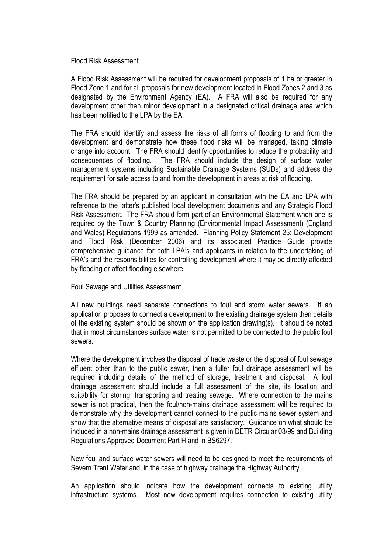# Flood Risk Assessment

A Flood Risk Assessment will be required for development proposals of 1 ha or greater in Flood Zone 1 and for all proposals for new development located in Flood Zones 2 and 3 as designated by the Environment Agency (EA). A FRA will also be required for any development other than minor development in a designated critical drainage area which has been notified to the LPA by the EA.

The FRA should identify and assess the risks of all forms of flooding to and from the development and demonstrate how these flood risks will be managed, taking climate change into account. The FRA should identify opportunities to reduce the probability and consequences of flooding. The FRA should include the design of surface water management systems including Sustainable Drainage Systems (SUDs) and address the requirement for safe access to and from the development in areas at risk of flooding.

The FRA should be prepared by an applicant in consultation with the EA and LPA with reference to the latter's published local development documents and any Strategic Flood Risk Assessment. The FRA should form part of an Environmental Statement when one is required by the Town & Country Planning (Environmental Impact Assessment) (England and Wales) Regulations 1999 as amended. Planning Policy Statement 25: Development and Flood Risk (December 2006) and its associated Practice Guide provide comprehensive guidance for both LPA's and applicants in relation to the undertaking of FRA's and the responsibilities for controlling development where it may be directly affected by flooding or affect flooding elsewhere.

# Foul Sewage and Utilities Assessment

All new buildings need separate connections to foul and storm water sewers. If an application proposes to connect a development to the existing drainage system then details of the existing system should be shown on the application drawing(s). It should be noted that in most circumstances surface water is not permitted to be connected to the public foul sewers.

Where the development involves the disposal of trade waste or the disposal of foul sewage effluent other than to the public sewer, then a fuller foul drainage assessment will be required including details of the method of storage, treatment and disposal. A foul drainage assessment should include a full assessment of the site, its location and suitability for storing, transporting and treating sewage. Where connection to the mains sewer is not practical, then the foul/non-mains drainage assessment will be required to demonstrate why the development cannot connect to the public mains sewer system and show that the alternative means of disposal are satisfactory. Guidance on what should be included in a non-mains drainage assessment is given in DETR Circular 03/99 and Building Regulations Approved Document Part H and in BS6297.

New foul and surface water sewers will need to be designed to meet the requirements of Severn Trent Water and, in the case of highway drainage the Highway Authority.

An application should indicate how the development connects to existing utility infrastructure systems. Most new development requires connection to existing utility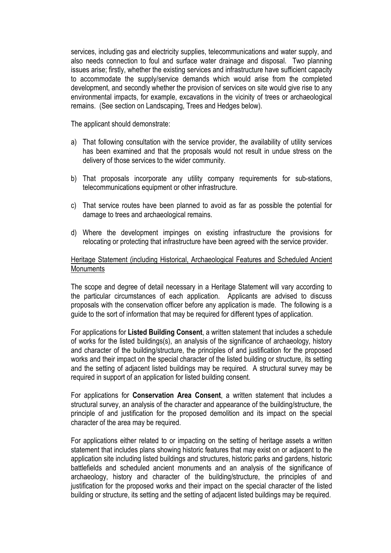services, including gas and electricity supplies, telecommunications and water supply, and also needs connection to foul and surface water drainage and disposal. Two planning issues arise; firstly, whether the existing services and infrastructure have sufficient capacity to accommodate the supply/service demands which would arise from the completed development, and secondly whether the provision of services on site would give rise to any environmental impacts, for example, excavations in the vicinity of trees or archaeological remains. (See section on Landscaping, Trees and Hedges below).

The applicant should demonstrate:

- a) That following consultation with the service provider, the availability of utility services has been examined and that the proposals would not result in undue stress on the delivery of those services to the wider community.
- b) That proposals incorporate any utility company requirements for sub-stations, telecommunications equipment or other infrastructure.
- c) That service routes have been planned to avoid as far as possible the potential for damage to trees and archaeological remains.
- d) Where the development impinges on existing infrastructure the provisions for relocating or protecting that infrastructure have been agreed with the service provider.

# Heritage Statement (including Historical, Archaeological Features and Scheduled Ancient Monuments

The scope and degree of detail necessary in a Heritage Statement will vary according to the particular circumstances of each application. Applicants are advised to discuss proposals with the conservation officer before any application is made. The following is a guide to the sort of information that may be required for different types of application.

For applications for **Listed Building Consent**, a written statement that includes a schedule of works for the listed buildings(s), an analysis of the significance of archaeology, history and character of the building/structure, the principles of and justification for the proposed works and their impact on the special character of the listed building or structure, its setting and the setting of adjacent listed buildings may be required. A structural survey may be required in support of an application for listed building consent.

For applications for **Conservation Area Consent**, a written statement that includes a structural survey, an analysis of the character and appearance of the building/structure, the principle of and justification for the proposed demolition and its impact on the special character of the area may be required.

For applications either related to or impacting on the setting of heritage assets a written statement that includes plans showing historic features that may exist on or adjacent to the application site including listed buildings and structures, historic parks and gardens, historic battlefields and scheduled ancient monuments and an analysis of the significance of archaeology, history and character of the building/structure, the principles of and justification for the proposed works and their impact on the special character of the listed building or structure, its setting and the setting of adjacent listed buildings may be required.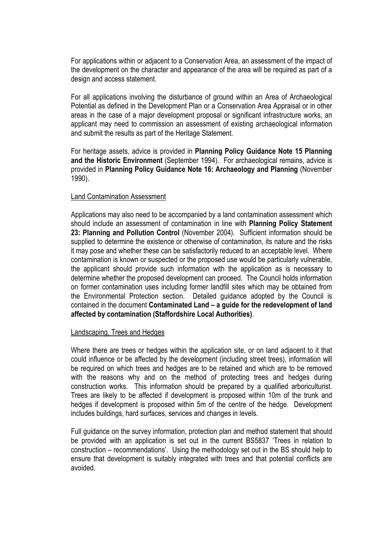For applications within or adjacent to a Conservation Area, an assessment of the impact of the development on the character and appearance of the area will be required as part of a design and access statement.

For all applications involving the disturbance of ground within an Area of Archaeological Potential as defined in the Development Plan or a Conservation Area Appraisal or in other areas in the case of a major development proposal or significant infrastructure works, an applicant may need to commission an assessment of existing archaeological information and submit the results as part of the Heritage Statement.

For heritage assets, advice is provided in **Planning Policy Guidance Note 15 Planning and the Historic Environment** (September 1994). For archaeological remains, advice is provided in **Planning Policy Guidance Note 16: Archaeology and Planning** (November 1990).

# Land Contamination Assessment

Applications may also need to be accompanied by a land contamination assessment which should include an assessment of contamination in line with **Planning Policy Statement 23: Planning and Pollution Control** (November 2004). Sufficient information should be supplied to determine the existence or otherwise of contamination, its nature and the risks it may pose and whether these can be satisfactorily reduced to an acceptable level. Where contamination is known or suspected or the proposed use would be particularly vulnerable, the applicant should provide such information with the application as is necessary to determine whether the proposed development can proceed. The Council holds information on former contamination uses including former landfill sites which may be obtained from the Environmental Protection section. Detailed guidance adopted by the Council is contained in the document **Contaminated Land – a guide for the redevelopment of land affected by contamination (Staffordshire Local Authorities)**.

# Landscaping, Trees and Hedges

Where there are trees or hedges within the application site, or on land adjacent to it that could influence or be affected by the development (including street trees), information will be required on which trees and hedges are to be retained and which are to be removed with the reasons why and on the method of protecting trees and hedges during construction works. This information should be prepared by a qualified arboriculturist. Trees are likely to be affected if development is proposed within 10m of the trunk and hedges if development is proposed within 5m of the centre of the hedge. Development includes buildings, hard surfaces, services and changes in levels.

Full guidance on the survey information, protection plan and method statement that should be provided with an application is set out in the current BS5837 'Trees in relation to construction – recommendations'. Using the methodology set out in the BS should help to ensure that development is suitably integrated with trees and that potential conflicts are avoided.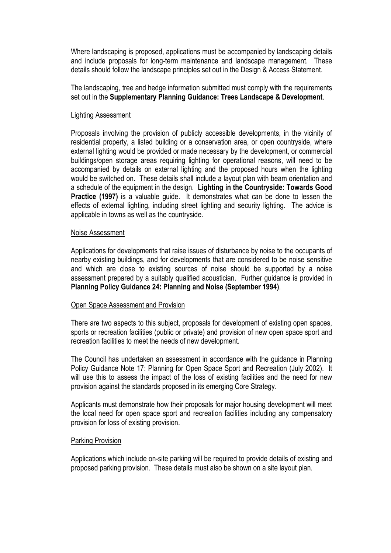Where landscaping is proposed, applications must be accompanied by landscaping details and include proposals for long-term maintenance and landscape management. These details should follow the landscape principles set out in the Design & Access Statement.

The landscaping, tree and hedge information submitted must comply with the requirements set out in the **Supplementary Planning Guidance: Trees Landscape & Development**.

### Lighting Assessment

Proposals involving the provision of publicly accessible developments, in the vicinity of residential property, a listed building or a conservation area, or open countryside, where external lighting would be provided or made necessary by the development, or commercial buildings/open storage areas requiring lighting for operational reasons, will need to be accompanied by details on external lighting and the proposed hours when the lighting would be switched on. These details shall include a layout plan with beam orientation and a schedule of the equipment in the design. **Lighting in the Countryside: Towards Good Practice (1997)** is a valuable guide. It demonstrates what can be done to lessen the effects of external lighting, including street lighting and security lighting. The advice is applicable in towns as well as the countryside.

#### Noise Assessment

Applications for developments that raise issues of disturbance by noise to the occupants of nearby existing buildings, and for developments that are considered to be noise sensitive and which are close to existing sources of noise should be supported by a noise assessment prepared by a suitably qualified acoustician. Further guidance is provided in **Planning Policy Guidance 24: Planning and Noise (September 1994)**.

#### Open Space Assessment and Provision

There are two aspects to this subject, proposals for development of existing open spaces, sports or recreation facilities (public or private) and provision of new open space sport and recreation facilities to meet the needs of new development.

The Council has undertaken an assessment in accordance with the guidance in Planning Policy Guidance Note 17: Planning for Open Space Sport and Recreation (July 2002). It will use this to assess the impact of the loss of existing facilities and the need for new provision against the standards proposed in its emerging Core Strategy.

Applicants must demonstrate how their proposals for major housing development will meet the local need for open space sport and recreation facilities including any compensatory provision for loss of existing provision.

#### Parking Provision

Applications which include on-site parking will be required to provide details of existing and proposed parking provision. These details must also be shown on a site layout plan.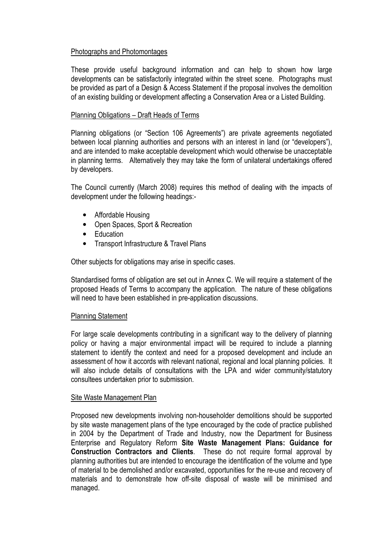# Photographs and Photomontages

These provide useful background information and can help to shown how large developments can be satisfactorily integrated within the street scene. Photographs must be provided as part of a Design & Access Statement if the proposal involves the demolition of an existing building or development affecting a Conservation Area or a Listed Building.

# Planning Obligations – Draft Heads of Terms

Planning obligations (or "Section 106 Agreements") are private agreements negotiated between local planning authorities and persons with an interest in land (or "developers"), and are intended to make acceptable development which would otherwise be unacceptable in planning terms. Alternatively they may take the form of unilateral undertakings offered by developers.

The Council currently (March 2008) requires this method of dealing with the impacts of development under the following headings:-

- Affordable Housing
- Open Spaces, Sport & Recreation
- Education
- Transport Infrastructure & Travel Plans

Other subjects for obligations may arise in specific cases.

Standardised forms of obligation are set out in Annex C. We will require a statement of the proposed Heads of Terms to accompany the application. The nature of these obligations will need to have been established in pre-application discussions.

# Planning Statement

For large scale developments contributing in a significant way to the delivery of planning policy or having a major environmental impact will be required to include a planning statement to identify the context and need for a proposed development and include an assessment of how it accords with relevant national, regional and local planning policies. It will also include details of consultations with the LPA and wider community/statutory consultees undertaken prior to submission.

# Site Waste Management Plan

Proposed new developments involving non-householder demolitions should be supported by site waste management plans of the type encouraged by the code of practice published in 2004 by the Department of Trade and Industry, now the Department for Business Enterprise and Regulatory Reform **Site Waste Management Plans: Guidance for Construction Contractors and Clients**. These do not require formal approval by planning authorities but are intended to encourage the identification of the volume and type of material to be demolished and/or excavated, opportunities for the re-use and recovery of materials and to demonstrate how off-site disposal of waste will be minimised and managed.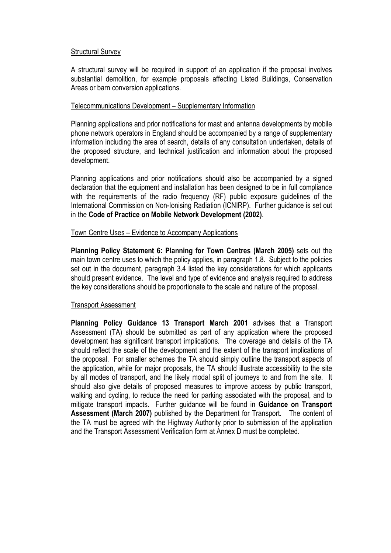# Structural Survey

A structural survey will be required in support of an application if the proposal involves substantial demolition, for example proposals affecting Listed Buildings, Conservation Areas or barn conversion applications.

# Telecommunications Development – Supplementary Information

Planning applications and prior notifications for mast and antenna developments by mobile phone network operators in England should be accompanied by a range of supplementary information including the area of search, details of any consultation undertaken, details of the proposed structure, and technical justification and information about the proposed development.

Planning applications and prior notifications should also be accompanied by a signed declaration that the equipment and installation has been designed to be in full compliance with the requirements of the radio frequency (RF) public exposure guidelines of the International Commission on Non-Ionising Radiation (ICNIRP). Further guidance is set out in the **Code of Practice on Mobile Network Development (2002)**.

# Town Centre Uses – Evidence to Accompany Applications

**Planning Policy Statement 6: Planning for Town Centres (March 2005)** sets out the main town centre uses to which the policy applies, in paragraph 1.8. Subject to the policies set out in the document, paragraph 3.4 listed the key considerations for which applicants should present evidence. The level and type of evidence and analysis required to address the key considerations should be proportionate to the scale and nature of the proposal.

# Transport Assessment

**Planning Policy Guidance 13 Transport March 2001** advises that a Transport Assessment (TA) should be submitted as part of any application where the proposed development has significant transport implications. The coverage and details of the TA should reflect the scale of the development and the extent of the transport implications of the proposal. For smaller schemes the TA should simply outline the transport aspects of the application, while for major proposals, the TA should illustrate accessibility to the site by all modes of transport, and the likely modal split of journeys to and from the site. It should also give details of proposed measures to improve access by public transport, walking and cycling, to reduce the need for parking associated with the proposal, and to mitigate transport impacts. Further guidance will be found in **Guidance on Transport Assessment (March 2007)** published by the Department for Transport. The content of the TA must be agreed with the Highway Authority prior to submission of the application and the Transport Assessment Verification form at Annex D must be completed.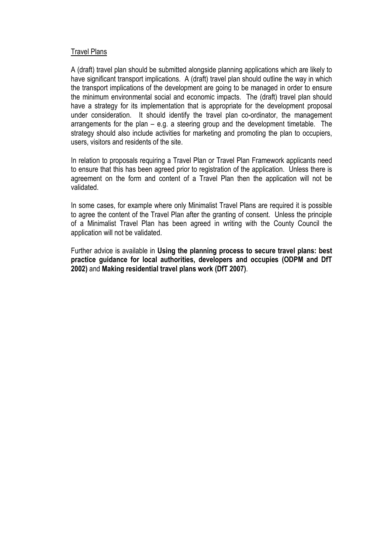# Travel Plans

A (draft) travel plan should be submitted alongside planning applications which are likely to have significant transport implications. A (draft) travel plan should outline the way in which the transport implications of the development are going to be managed in order to ensure the minimum environmental social and economic impacts. The (draft) travel plan should have a strategy for its implementation that is appropriate for the development proposal under consideration. It should identify the travel plan co-ordinator, the management arrangements for the plan – e.g. a steering group and the development timetable. The strategy should also include activities for marketing and promoting the plan to occupiers, users, visitors and residents of the site.

In relation to proposals requiring a Travel Plan or Travel Plan Framework applicants need to ensure that this has been agreed prior to registration of the application. Unless there is agreement on the form and content of a Travel Plan then the application will not be validated.

In some cases, for example where only Minimalist Travel Plans are required it is possible to agree the content of the Travel Plan after the granting of consent. Unless the principle of a Minimalist Travel Plan has been agreed in writing with the County Council the application will not be validated.

Further advice is available in **Using the planning process to secure travel plans: best practice guidance for local authorities, developers and occupies (ODPM and DfT 2002)** and **Making residential travel plans work (DfT 2007)**.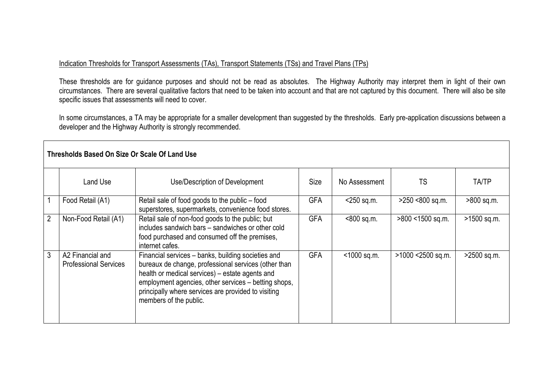# Indication Thresholds for Transport Assessments (TAs), Transport Statements (TSs) and Travel Plans (TPs)

These thresholds are for guidance purposes and should not be read as absolutes. The Highway Authority may interpret them in light of their own circumstances. There are several qualitative factors that need to be taken into account and that are not captured by this document. There will also be site specific issues that assessments will need to cover.<br>In some circumstances, a TA may be appropriate for a smaller development than suggested by the thresholds. Early pre-application discussions between a

developer and the Highway Authority is strongly recommended.

|                | Thresholds Based On Size Or Scale Of Land Use    |                                                                                                                                                                                                                                                                                                        |             |               |                   |              |
|----------------|--------------------------------------------------|--------------------------------------------------------------------------------------------------------------------------------------------------------------------------------------------------------------------------------------------------------------------------------------------------------|-------------|---------------|-------------------|--------------|
|                | Land Use                                         | Use/Description of Development                                                                                                                                                                                                                                                                         | <b>Size</b> | No Assessment | <b>TS</b>         | <b>TA/TP</b> |
|                | Food Retail (A1)                                 | Retail sale of food goods to the public – food<br>superstores, supermarkets, convenience food stores.                                                                                                                                                                                                  | <b>GFA</b>  | $<$ 250 sq.m. | >250 <800 sq.m.   | >800 sq.m.   |
| $\overline{2}$ | Non-Food Retail (A1)                             | Retail sale of non-food goods to the public; but<br>includes sandwich bars – sandwiches or other cold<br>food purchased and consumed off the premises,<br>internet cafes.                                                                                                                              | <b>GFA</b>  | <800 sq.m.    | >800 <1500 sq.m.  | >1500 sq.m.  |
| 3              | A2 Financial and<br><b>Professional Services</b> | Financial services – banks, building societies and<br>bureaux de change, professional services (other than<br>health or medical services) – estate agents and<br>employment agencies, other services - betting shops,<br>principally where services are provided to visiting<br>members of the public. | <b>GFA</b>  | <1000 sq.m.   | >1000 <2500 sq.m. | >2500 sq.m.  |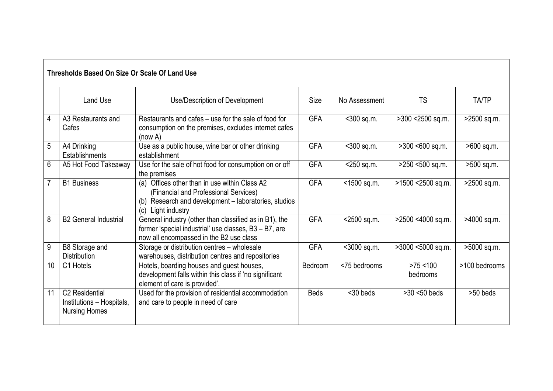|    | Thresholds Based On Size Or Scale Of Land Use                       |                                                                                                                                                                         |             |               |                         |               |
|----|---------------------------------------------------------------------|-------------------------------------------------------------------------------------------------------------------------------------------------------------------------|-------------|---------------|-------------------------|---------------|
|    | <b>Land Use</b>                                                     | Use/Description of Development                                                                                                                                          | Size        | No Assessment | <b>TS</b>               | <b>TA/TP</b>  |
| 4  | A3 Restaurants and<br>Cafes                                         | Restaurants and cafes – use for the sale of food for<br>consumption on the premises, excludes internet cafes<br>(now A)                                                 | <b>GFA</b>  | $<$ 300 sq.m. | >300 <2500 sq.m.        | >2500 sq.m.   |
| 5  | A4 Drinking<br>Establishments                                       | Use as a public house, wine bar or other drinking<br>establishment                                                                                                      | <b>GFA</b>  | <300 sq.m.    | >300 <600 sq.m.         | >600 sq.m.    |
| 6  | A5 Hot Food Takeaway                                                | Use for the sale of hot food for consumption on or off<br>the premises                                                                                                  | <b>GFA</b>  | $<$ 250 sq.m. | >250 <500 sq.m.         | >500 sq.m.    |
| 7  | <b>B1</b> Business                                                  | (a) Offices other than in use within Class A2<br>(Financial and Professional Services)<br>(b) Research and development - laboratories, studios<br>Light industry<br>(c) | <b>GFA</b>  | <1500 sq.m.   | >1500 <2500 sq.m.       | >2500 sq.m.   |
| 8  | <b>B2 General Industrial</b>                                        | General industry (other than classified as in B1), the<br>former 'special industrial' use classes, B3 - B7, are<br>now all encompassed in the B2 use class              | <b>GFA</b>  | <2500 sq.m.   | >2500 <4000 sq.m.       | >4000 sq.m.   |
| 9  | B8 Storage and<br><b>Distribution</b>                               | Storage or distribution centres - wholesale<br>warehouses, distribution centres and repositories                                                                        | <b>GFA</b>  | <3000 sq.m.   | >3000 <5000 sq.m.       | >5000 sq.m.   |
| 10 | C1 Hotels                                                           | Hotels, boarding houses and guest houses,<br>development falls within this class if 'no significant<br>element of care is provided'.                                    | Bedroom     | <75 bedrooms  | $>75$ < 100<br>bedrooms | >100 bedrooms |
| 11 | C2 Residential<br>Institutions - Hospitals,<br><b>Nursing Homes</b> | Used for the provision of residential accommodation<br>and care to people in need of care                                                                               | <b>Beds</b> | $30$ beds     | $>30$ <50 beds          | >50 beds      |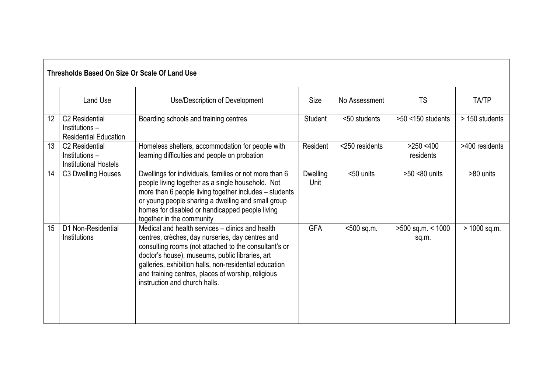|    | Thresholds Based On Size Or Scale Of Land Use                                |                                                                                                                                                                                                                                                                                                                                                                   |                         |                |                              |                |
|----|------------------------------------------------------------------------------|-------------------------------------------------------------------------------------------------------------------------------------------------------------------------------------------------------------------------------------------------------------------------------------------------------------------------------------------------------------------|-------------------------|----------------|------------------------------|----------------|
|    | <b>Land Use</b>                                                              | Use/Description of Development                                                                                                                                                                                                                                                                                                                                    | <b>Size</b>             | No Assessment  | <b>TS</b>                    | TA/TP          |
| 12 | C <sub>2</sub> Residential<br>Institutions –<br><b>Residential Education</b> | Boarding schools and training centres                                                                                                                                                                                                                                                                                                                             | Student                 | <50 students   | $>50$ <150 students          | > 150 students |
| 13 | C <sub>2</sub> Residential<br>Institutions-<br><b>Institutional Hostels</b>  | Homeless shelters, accommodation for people with<br>learning difficulties and people on probation                                                                                                                                                                                                                                                                 | Resident                | <250 residents | $>250$ <400<br>residents     | >400 residents |
| 14 | C3 Dwelling Houses                                                           | Dwellings for individuals, families or not more than 6<br>people living together as a single household. Not<br>more than 6 people living together includes – students<br>or young people sharing a dwelling and small group<br>homes for disabled or handicapped people living<br>together in the community                                                       | <b>Dwelling</b><br>Unit | <50 units      | >50 <80 units                | >80 units      |
| 15 | D1 Non-Residential<br>Institutions                                           | Medical and health services – clinics and health<br>centres, crèches, day nurseries, day centres and<br>consulting rooms (not attached to the consultant's or<br>doctor's house), museums, public libraries, art<br>galleries, exhibition halls, non-residential education<br>and training centres, places of worship, religious<br>instruction and church halls. | <b>GFA</b>              | <500 sq.m.     | $>500$ sq.m. < 1000<br>sq.m. | > 1000 sq.m.   |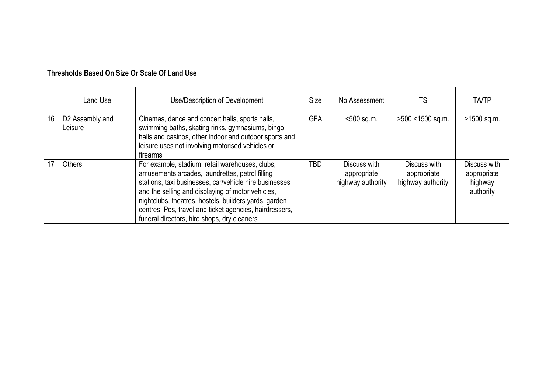|    | Thresholds Based On Size Or Scale Of Land Use |                                                                                                                                                                                                                                                                                                                                                                                      |             |                                                  |                                                  |                                                     |
|----|-----------------------------------------------|--------------------------------------------------------------------------------------------------------------------------------------------------------------------------------------------------------------------------------------------------------------------------------------------------------------------------------------------------------------------------------------|-------------|--------------------------------------------------|--------------------------------------------------|-----------------------------------------------------|
|    | Land Use                                      | Use/Description of Development                                                                                                                                                                                                                                                                                                                                                       | <b>Size</b> | No Assessment                                    | TS                                               | <b>TA/TP</b>                                        |
| 16 | D2 Assembly and<br>Leisure                    | Cinemas, dance and concert halls, sports halls,<br>swimming baths, skating rinks, gymnasiums, bingo<br>halls and casinos, other indoor and outdoor sports and<br>leisure uses not involving motorised vehicles or<br>firearms                                                                                                                                                        | <b>GFA</b>  | $< 500$ sq.m.                                    | >500 <1500 sq.m.                                 | >1500 sq.m.                                         |
| 17 | <b>Others</b>                                 | For example, stadium, retail warehouses, clubs,<br>amusements arcades, laundrettes, petrol filling<br>stations, taxi businesses, car/vehicle hire businesses<br>and the selling and displaying of motor vehicles,<br>nightclubs, theatres, hostels, builders yards, garden<br>centres, Pos, travel and ticket agencies, hairdressers,<br>funeral directors, hire shops, dry cleaners | TBD         | Discuss with<br>appropriate<br>highway authority | Discuss with<br>appropriate<br>highway authority | Discuss with<br>appropriate<br>highway<br>authority |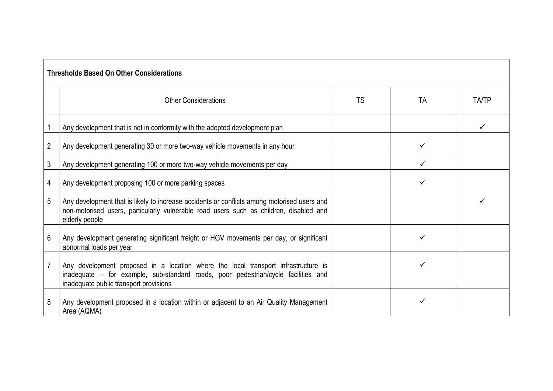|                | <b>Thresholds Based On Other Considerations</b>                                                                                                                                                                    |           |              |              |
|----------------|--------------------------------------------------------------------------------------------------------------------------------------------------------------------------------------------------------------------|-----------|--------------|--------------|
|                | <b>Other Considerations</b>                                                                                                                                                                                        | <b>TS</b> | TA           | <b>TA/TP</b> |
|                | Any development that is not in conformity with the adopted development plan                                                                                                                                        |           |              |              |
| $\overline{2}$ | Any development generating 30 or more two-way vehicle movements in any hour                                                                                                                                        |           | $\checkmark$ |              |
| 3              | Any development generating 100 or more two-way vehicle movements per day                                                                                                                                           |           | ✓            |              |
| 4              | Any development proposing 100 or more parking spaces                                                                                                                                                               |           |              |              |
| 5              | Any development that is likely to increase accidents or conflicts among motorised users and<br>non-motorised users, particularly vulnerable road users such as children, disabled and<br>elderly people            |           |              |              |
| 6              | Any development generating significant freight or HGV movements per day, or significant<br>abnormal loads per year                                                                                                 |           |              |              |
| $\overline{7}$ | Any development proposed in a location where the local transport infrastructure is<br>inadequate - for example, sub-standard roads, poor pedestrian/cycle facilities and<br>inadequate public transport provisions |           |              |              |
| 8              | Any development proposed in a location within or adjacent to an Air Quality Management<br>Area (AQMA)                                                                                                              |           |              |              |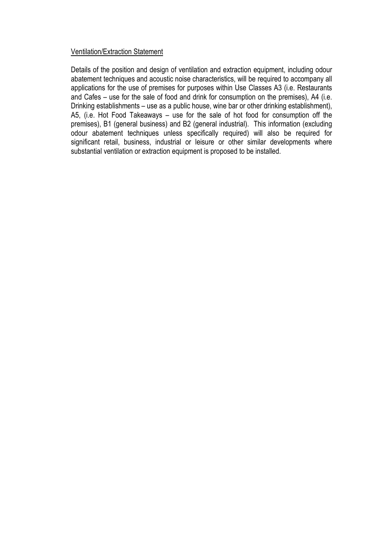# Ventilation/Extraction Statement

Details of the position and design of ventilation and extraction equipment, including odour abatement techniques and acoustic noise characteristics, will be required to accompany all applications for the use of premises for purposes within Use Classes A3 (i.e. Restaurants and Cafes – use for the sale of food and drink for consumption on the premises), A4 (i.e. Drinking establishments – use as a public house, wine bar or other drinking establishment), A5, (i.e. Hot Food Takeaways – use for the sale of hot food for consumption off the premises), B1 (general business) and B2 (general industrial). This information (excluding odour abatement techniques unless specifically required) will also be required for significant retail, business, industrial or leisure or other similar developments where substantial ventilation or extraction equipment is proposed to be installed.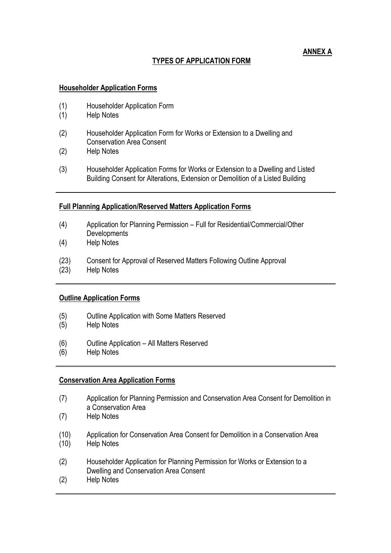# **TYPES OF APPLICATION FORM**

# **ANNEX A**

# **Householder Application Forms**

- (1) Householder Application Form
- (1) Help Notes
- (2) Householder Application Form for Works or Extension to a Dwelling and Conservation Area Consent
- (2) Help Notes
- (3) Householder Application Forms for Works or Extension to a Dwelling and Listed Building Consent for Alterations, Extension or Demolition of a Listed Building

# **Full Planning Application/Reserved Matters Application Forms**

- (4) Application for Planning Permission Full for Residential/Commercial/Other **Developments**
- (4) Help Notes
- (23) Consent for Approval of Reserved Matters Following Outline Approval
- (23) Help Notes

# **Outline Application Forms**

- (5) Outline Application with Some Matters Reserved
- (5) Help Notes
- (6) Outline Application All Matters Reserved
- (6) Help Notes

# **Conservation Area Application Forms**

- (7) Application for Planning Permission and Conservation Area Consent for Demolition in a Conservation Area
- (7) Help Notes
- (10) Application for Conservation Area Consent for Demolition in a Conservation Area (10) Help Notes
- (2) Householder Application for Planning Permission for Works or Extension to a Dwelling and Conservation Area Consent
- (2) Help Notes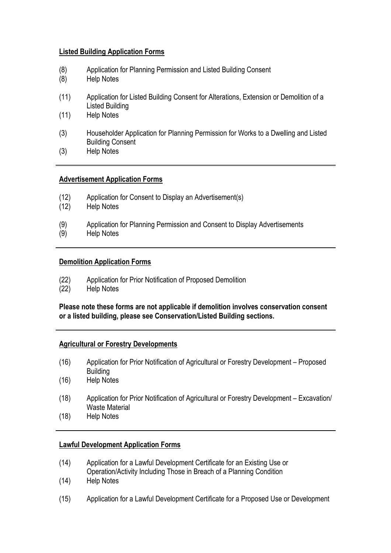# **Listed Building Application Forms**

- (8) Application for Planning Permission and Listed Building Consent
- (8) Help Notes
- (11) Application for Listed Building Consent for Alterations, Extension or Demolition of a Listed Building
- (11) Help Notes
- (3) Householder Application for Planning Permission for Works to a Dwelling and Listed Building Consent
- (3) Help Notes

# **Advertisement Application Forms**

- (12) Application for Consent to Display an Advertisement(s)
- (12) Help Notes
- (9) Application for Planning Permission and Consent to Display Advertisements<br>(9) Help Notes
- Help Notes

# **Demolition Application Forms**

- (22) Application for Prior Notification of Proposed Demolition
- (22) Help Notes

**Please note these forms are not applicable if demolition involves conservation consent or a listed building, please see Conservation/Listed Building sections.** 

# **Agricultural or Forestry Developments**

- (16) Application for Prior Notification of Agricultural or Forestry Development Proposed Building
- (16) Help Notes
- (18) Application for Prior Notification of Agricultural or Forestry Development Excavation/ Waste Material
- (18) Help Notes

# **Lawful Development Application Forms**

- (14) Application for a Lawful Development Certificate for an Existing Use or Operation/Activity Including Those in Breach of a Planning Condition
- (14) Help Notes
- (15) Application for a Lawful Development Certificate for a Proposed Use or Development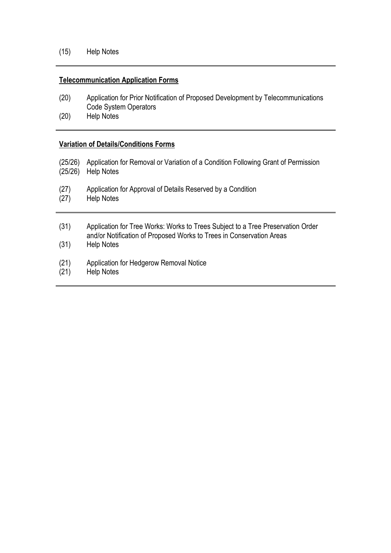# **Telecommunication Application Forms**

- (20) Application for Prior Notification of Proposed Development by Telecommunications Code System Operators
- (20) Help Notes

# **Variation of Details/Conditions Forms**

- (25/26) Application for Removal or Variation of a Condition Following Grant of Permission (25/26) Help Notes
- (27) Application for Approval of Details Reserved by a Condition (27) Help Notes
- Help Notes
- (31) Application for Tree Works: Works to Trees Subject to a Tree Preservation Order and/or Notification of Proposed Works to Trees in Conservation Areas
- (31) Help Notes
- (21) Application for Hedgerow Removal Notice<br>(21) Help Notes
- Help Notes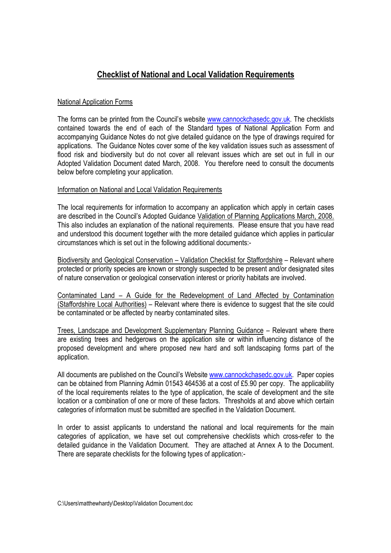# **Checklist of National and Local Validation Requirements**

# National Application Forms

The forms can be printed from the Council's website www.cannockchasedc.gov.uk. The checklists contained towards the end of each of the Standard types of National Application Form and accompanying Guidance Notes do not give detailed guidance on the type of drawings required for applications. The Guidance Notes cover some of the key validation issues such as assessment of flood risk and biodiversity but do not cover all relevant issues which are set out in full in our Adopted Validation Document dated March, 2008. You therefore need to consult the documents below before completing your application.

# Information on National and Local Validation Requirements

The local requirements for information to accompany an application which apply in certain cases are described in the Council's Adopted Guidance Validation of Planning Applications March, 2008. This also includes an explanation of the national requirements. Please ensure that you have read and understood this document together with the more detailed guidance which applies in particular circumstances which is set out in the following additional documents:-

Biodiversity and Geological Conservation – Validation Checklist for Staffordshire – Relevant where protected or priority species are known or strongly suspected to be present and/or designated sites of nature conservation or geological conservation interest or priority habitats are involved.

Contaminated Land – A Guide for the Redevelopment of Land Affected by Contamination (Staffordshire Local Authorities) – Relevant where there is evidence to suggest that the site could be contaminated or be affected by nearby contaminated sites.

Trees, Landscape and Development Supplementary Planning Guidance – Relevant where there are existing trees and hedgerows on the application site or within influencing distance of the proposed development and where proposed new hard and soft landscaping forms part of the application.

All documents are published on the Council's Website www.cannockchasedc.gov.uk. Paper copies can be obtained from Planning Admin 01543 464536 at a cost of £5.90 per copy. The applicability of the local requirements relates to the type of application, the scale of development and the site location or a combination of one or more of these factors. Thresholds at and above which certain categories of information must be submitted are specified in the Validation Document.

In order to assist applicants to understand the national and local requirements for the main categories of application, we have set out comprehensive checklists which cross-refer to the detailed guidance in the Validation Document. They are attached at Annex A to the Document. There are separate checklists for the following types of application:-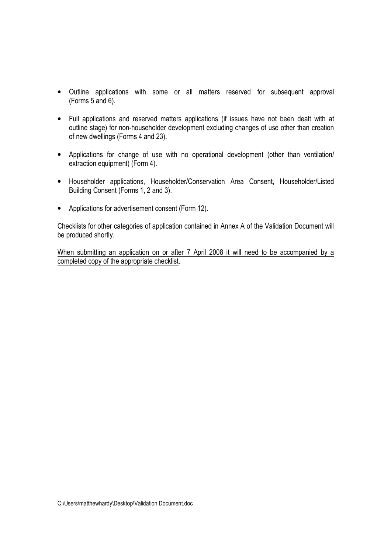- Outline applications with some or all matters reserved for subsequent approval (Forms 5 and 6).
- Full applications and reserved matters applications (if issues have not been dealt with at outline stage) for non-householder development excluding changes of use other than creation of new dwellings (Forms 4 and 23).
- Applications for change of use with no operational development (other than ventilation) extraction equipment) (Form 4).
- Householder applications, Householder/Conservation Area Consent, Householder/Listed Building Consent (Forms 1, 2 and 3).
- Applications for advertisement consent (Form 12).

Checklists for other categories of application contained in Annex A of the Validation Document will be produced shortly.

When submitting an application on or after 7 April 2008 it will need to be accompanied by a completed copy of the appropriate checklist.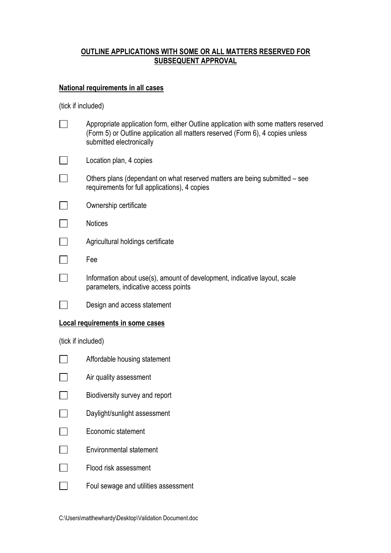# **OUTLINE APPLICATIONS WITH SOME OR ALL MATTERS RESERVED FOR SUBSEQUENT APPROVAL**

# **National requirements in all cases**

|                    | Appropriate application form, either Outline application with some matters reserved<br>(Form 5) or Outline application all matters reserved (Form 6), 4 copies unless<br>submitted electronically |
|--------------------|---------------------------------------------------------------------------------------------------------------------------------------------------------------------------------------------------|
|                    | Location plan, 4 copies                                                                                                                                                                           |
|                    | Others plans (dependant on what reserved matters are being submitted – see<br>requirements for full applications), 4 copies                                                                       |
|                    | Ownership certificate                                                                                                                                                                             |
|                    | <b>Notices</b>                                                                                                                                                                                    |
|                    | Agricultural holdings certificate                                                                                                                                                                 |
|                    | Fee                                                                                                                                                                                               |
|                    | Information about use(s), amount of development, indicative layout, scale<br>parameters, indicative access points                                                                                 |
|                    | Design and access statement                                                                                                                                                                       |
|                    | Local requirements in some cases                                                                                                                                                                  |
| (tick if included) |                                                                                                                                                                                                   |
|                    | Affordable housing statement                                                                                                                                                                      |
|                    | Air quality assessment                                                                                                                                                                            |
|                    | Biodiversity survey and report                                                                                                                                                                    |
|                    | Daylight/sunlight assessment                                                                                                                                                                      |
|                    | Economic statement                                                                                                                                                                                |
|                    | <b>Environmental statement</b>                                                                                                                                                                    |
|                    | Flood risk assessment                                                                                                                                                                             |
|                    | Foul sewage and utilities assessment                                                                                                                                                              |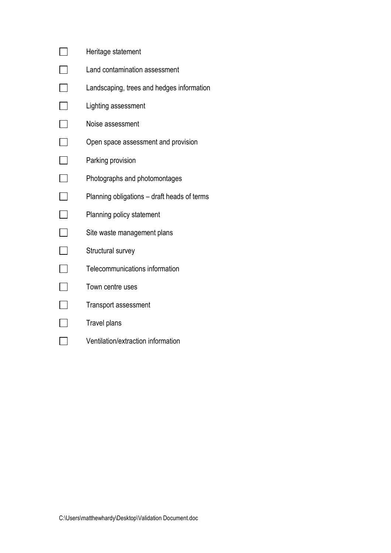|                          | Heritage statement                          |
|--------------------------|---------------------------------------------|
| ᄀ                        | Land contamination assessment               |
|                          | Landscaping, trees and hedges information   |
|                          | Lighting assessment                         |
| $\Box$                   | Noise assessment                            |
| ┑                        | Open space assessment and provision         |
|                          | Parking provision                           |
|                          | Photographs and photomontages               |
| $\overline{\phantom{a}}$ | Planning obligations – draft heads of terms |
| $\blacksquare$           | Planning policy statement                   |
|                          | Site waste management plans                 |
| $\blacksquare$           | Structural survey                           |
| $\Box$                   | Telecommunications information              |
|                          | Town centre uses                            |
|                          | <b>Transport assessment</b>                 |
|                          | Travel plans                                |
|                          | Ventilation/extraction information          |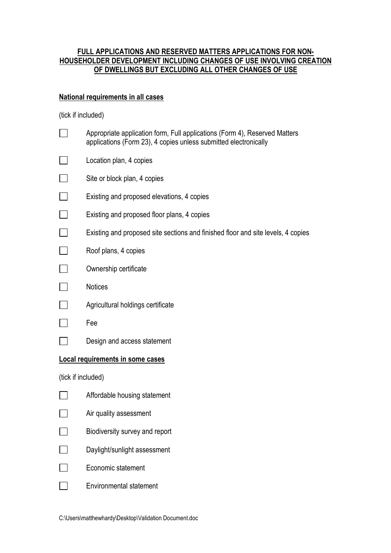# **FULL APPLICATIONS AND RESERVED MATTERS APPLICATIONS FOR NON-HOUSEHOLDER DEVELOPMENT INCLUDING CHANGES OF USE INVOLVING CREATION OF DWELLINGS BUT EXCLUDING ALL OTHER CHANGES OF USE**

# **National requirements in all cases**

|                    | Appropriate application form, Full applications (Form 4), Reserved Matters<br>applications (Form 23), 4 copies unless submitted electronically |
|--------------------|------------------------------------------------------------------------------------------------------------------------------------------------|
|                    | Location plan, 4 copies                                                                                                                        |
|                    | Site or block plan, 4 copies                                                                                                                   |
|                    | Existing and proposed elevations, 4 copies                                                                                                     |
|                    | Existing and proposed floor plans, 4 copies                                                                                                    |
|                    | Existing and proposed site sections and finished floor and site levels, 4 copies                                                               |
|                    | Roof plans, 4 copies                                                                                                                           |
|                    | Ownership certificate                                                                                                                          |
|                    | Notices                                                                                                                                        |
|                    | Agricultural holdings certificate                                                                                                              |
|                    | Fee                                                                                                                                            |
|                    | Design and access statement                                                                                                                    |
|                    | Local requirements in some cases                                                                                                               |
| (tick if included) |                                                                                                                                                |
|                    | Affordable housing statement                                                                                                                   |
|                    | Air quality assessment                                                                                                                         |
|                    | Biodiversity survey and report                                                                                                                 |
|                    | Daylight/sunlight assessment                                                                                                                   |
|                    | Economic statement                                                                                                                             |
|                    | <b>Environmental statement</b>                                                                                                                 |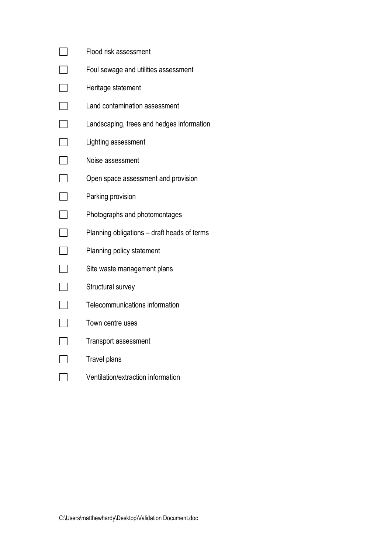|        | Flood risk assessment                       |
|--------|---------------------------------------------|
| $\Box$ | Foul sewage and utilities assessment        |
| $\Box$ | Heritage statement                          |
| $\Box$ | Land contamination assessment               |
|        | Landscaping, trees and hedges information   |
| $\Box$ | Lighting assessment                         |
|        | Noise assessment                            |
|        | Open space assessment and provision         |
| $\Box$ | Parking provision                           |
|        | Photographs and photomontages               |
| $\Box$ | Planning obligations - draft heads of terms |
| $\Box$ | Planning policy statement                   |
| $\Box$ | Site waste management plans                 |
| $\Box$ | Structural survey                           |
| $\Box$ | Telecommunications information              |
| $\Box$ | Town centre uses                            |
| $\Box$ | <b>Transport assessment</b>                 |
| $\Box$ | <b>Travel plans</b>                         |
|        | Ventilation/extraction information          |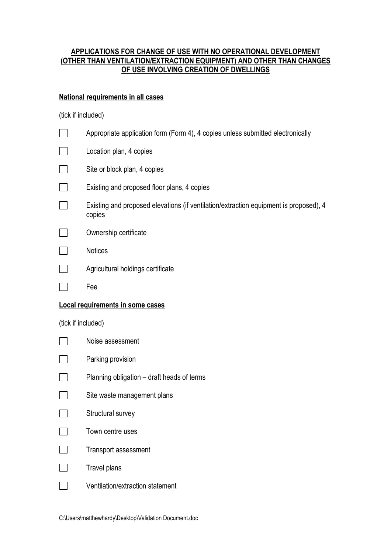# **APPLICATIONS FOR CHANGE OF USE WITH NO OPERATIONAL DEVELOPMENT (OTHER THAN VENTILATION/EXTRACTION EQUIPMENT) AND OTHER THAN CHANGES OF USE INVOLVING CREATION OF DWELLINGS**

# **National requirements in all cases**

|                                  | Appropriate application form (Form 4), 4 copies unless submitted electronically                 |  |
|----------------------------------|-------------------------------------------------------------------------------------------------|--|
|                                  | Location plan, 4 copies                                                                         |  |
|                                  | Site or block plan, 4 copies                                                                    |  |
|                                  | Existing and proposed floor plans, 4 copies                                                     |  |
|                                  | Existing and proposed elevations (if ventilation/extraction equipment is proposed), 4<br>copies |  |
|                                  | Ownership certificate                                                                           |  |
|                                  | <b>Notices</b>                                                                                  |  |
|                                  | Agricultural holdings certificate                                                               |  |
|                                  | Fee                                                                                             |  |
| Local requirements in some cases |                                                                                                 |  |
|                                  |                                                                                                 |  |
| (tick if included)               |                                                                                                 |  |
|                                  | Noise assessment                                                                                |  |
|                                  | Parking provision                                                                               |  |
|                                  | Planning obligation - draft heads of terms                                                      |  |
|                                  | Site waste management plans                                                                     |  |
|                                  | Structural survey                                                                               |  |
|                                  | Town centre uses                                                                                |  |
|                                  | <b>Transport assessment</b>                                                                     |  |
|                                  | Travel plans                                                                                    |  |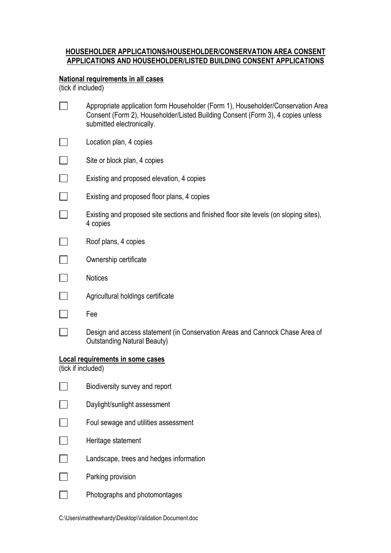# **HOUSEHOLDER APPLICATIONS/HOUSEHOLDER/CONSERVATION AREA CONSENT APPLICATIONS AND HOUSEHOLDER/LISTED BUILDING CONSENT APPLICATIONS**

# **National requirements in all cases**

|                                                        | Appropriate application form Householder (Form 1), Householder/Conservation Area<br>Consent (Form 2), Householder/Listed Building Consent (Form 3), 4 copies unless<br>submitted electronically. |  |
|--------------------------------------------------------|--------------------------------------------------------------------------------------------------------------------------------------------------------------------------------------------------|--|
|                                                        | Location plan, 4 copies                                                                                                                                                                          |  |
|                                                        | Site or block plan, 4 copies                                                                                                                                                                     |  |
|                                                        | Existing and proposed elevation, 4 copies                                                                                                                                                        |  |
|                                                        | Existing and proposed floor plans, 4 copies                                                                                                                                                      |  |
|                                                        | Existing and proposed site sections and finished floor site levels (on sloping sites),<br>4 copies                                                                                               |  |
|                                                        | Roof plans, 4 copies                                                                                                                                                                             |  |
|                                                        | Ownership certificate                                                                                                                                                                            |  |
|                                                        | <b>Notices</b>                                                                                                                                                                                   |  |
|                                                        | Agricultural holdings certificate                                                                                                                                                                |  |
|                                                        | Fee                                                                                                                                                                                              |  |
|                                                        | Design and access statement (in Conservation Areas and Cannock Chase Area of<br><b>Outstanding Natural Beauty)</b>                                                                               |  |
| Local requirements in some cases<br>(tick if included) |                                                                                                                                                                                                  |  |
|                                                        | Biodiversity survey and report                                                                                                                                                                   |  |
|                                                        | Daylight/sunlight assessment                                                                                                                                                                     |  |
|                                                        | Foul sewage and utilities assessment                                                                                                                                                             |  |
|                                                        | Heritage statement                                                                                                                                                                               |  |
|                                                        | Landscape, trees and hedges information                                                                                                                                                          |  |
|                                                        | Parking provision                                                                                                                                                                                |  |
|                                                        | Photographs and photomontages                                                                                                                                                                    |  |